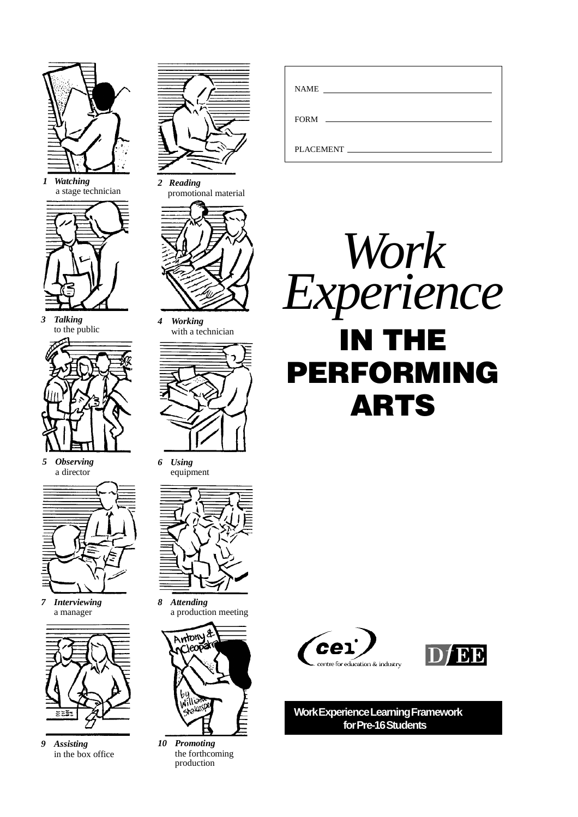

*1 Watching* a stage technician



*3 Talking* to the public



*5 Observing* a director



*7 Interviewing* a manager



*9 Assisting* in the box office



*2 Reading* promotional material



*4 Working* with a technician



*6 Using* equipment



*8 Attending* a production meeting



*10 Promoting* the forthcoming production

| <b>NAME</b><br><u> The Communication of the Communication</u> |  |
|---------------------------------------------------------------|--|
| FORM FORM                                                     |  |
| PLACEMENT                                                     |  |







**Work Experience Learning Framework for Pre-16 Students**